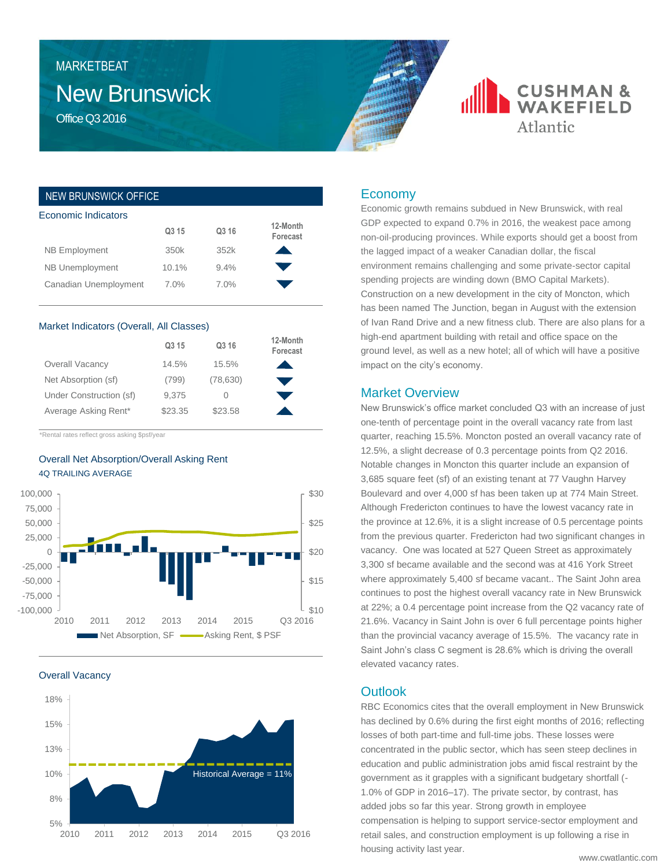# New Brunswick MARKETBEAT

Office Q3 2016

## NEW BRUNSWICK OFFICE

| Economic Indicators    |                   |       |                      |  |  |  |  |
|------------------------|-------------------|-------|----------------------|--|--|--|--|
|                        | Q <sub>3</sub> 15 | Q3 16 | 12-Month<br>Forecast |  |  |  |  |
| <b>NB Employment</b>   | 350k              | 352k  |                      |  |  |  |  |
| <b>NB Unemployment</b> | 10.1%             | 9.4%  |                      |  |  |  |  |
| Canadian Unemployment  | 7.0%              | 7.0%  |                      |  |  |  |  |

#### Market Indicators (Overall, All Classes)

|                         | Q3 15   | Q3 16     | 12-Month<br>Forecast |
|-------------------------|---------|-----------|----------------------|
| Overall Vacancy         | 14.5%   | 15.5%     |                      |
| Net Absorption (sf)     | (799)   | (78, 630) |                      |
| Under Construction (sf) | 9,375   |           |                      |
| Average Asking Rent*    | \$23.35 | \$23.58   |                      |

\*Rental rates reflect gross asking \$psf/year

## Overall Net Absorption/Overall Asking Rent 4Q TRAILING AVERAGE



Overall Vacancy



## Economy

Economic growth remains subdued in New Brunswick, with real GDP expected to expand 0.7% in 2016, the weakest pace among non-oil-producing provinces. While exports should get a boost from the lagged impact of a weaker Canadian dollar, the fiscal environment remains challenging and some private-sector capital spending projects are winding down (BMO Capital Markets). Construction on a new development in the city of Moncton, which has been named The Junction, began in August with the extension of Ivan Rand Drive and a new fitness club. There are also plans for a high-end apartment building with retail and office space on the ground level, as well as a new hotel; all of which will have a positive impact on the city's economy.

**CUSHMAN &**<br>WAKEFIELD

Atlantic

#### Market Overview

New Brunswick's office market concluded Q3 with an increase of just one-tenth of percentage point in the overall vacancy rate from last quarter, reaching 15.5%. Moncton posted an overall vacancy rate of 12.5%, a slight decrease of 0.3 percentage points from Q2 2016. Notable changes in Moncton this quarter include an expansion of 3,685 square feet (sf) of an existing tenant at 77 Vaughn Harvey Boulevard and over 4,000 sf has been taken up at 774 Main Street. Although Fredericton continues to have the lowest vacancy rate in the province at 12.6%, it is a slight increase of 0.5 percentage points from the previous quarter. Fredericton had two significant changes in vacancy. One was located at 527 Queen Street as approximately 3,300 sf became available and the second was at 416 York Street where approximately 5,400 sf became vacant.. The Saint John area continues to post the highest overall vacancy rate in New Brunswick at 22%; a 0.4 percentage point increase from the Q2 vacancy rate of 21.6%. Vacancy in Saint John is over 6 full percentage points higher than the provincial vacancy average of 15.5%. The vacancy rate in Saint John's class C segment is 28.6% which is driving the overall elevated vacancy rates.

## **Outlook**

RBC Economics cites that the overall employment in New Brunswick has declined by 0.6% during the first eight months of 2016; reflecting losses of both part-time and full-time jobs. These losses were concentrated in the public sector, which has seen steep declines in education and public administration jobs amid fiscal restraint by the government as it grapples with a significant budgetary shortfall (- 1.0% of GDP in 2016–17). The private sector, by contrast, has added jobs so far this year. Strong growth in employee compensation is helping to support service-sector employment and retail sales, and construction employment is up following a rise in housing activity last year.